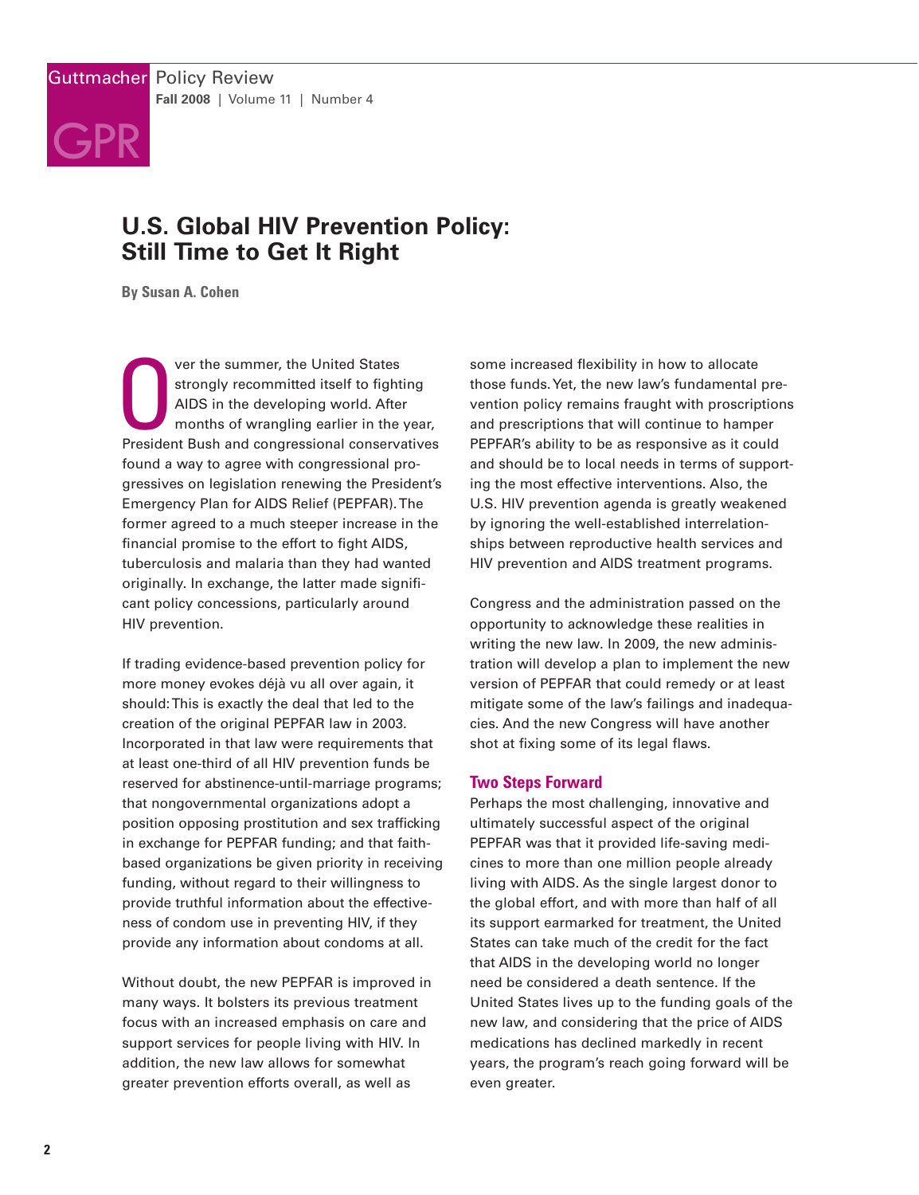# **GPR**

## **U.S. Global HIV Prevention Policy: Still Time to Get It Right**

**By Susan A. Cohen**

Ver the summer, the United States<br>strongly recommitted itself to fighting<br>AIDS in the developing world. After<br>months of wrangling earlier in the year,<br>President Bush and congressional conservatives ver the summer, the United States strongly recommitted itself to fighting AIDS in the developing world. After months of wrangling earlier in the year, found a way to agree with congressional progressives on legislation renewing the President's Emergency Plan for AIDS Relief (PEPFAR).The former agreed to a much steeper increase in the financial promise to the effort to fight AIDS, tuberculosis and malaria than they had wanted originally. In exchange, the latter made significant policy concessions, particularly around HIV prevention.

If trading evidence-based prevention policy for more money evokes déjà vu all over again, it should:This is exactly the deal that led to the creation of the original PEPFAR law in 2003. Incorporated in that law were requirements that at least one-third of all HIV prevention funds be reserved for abstinence-until-marriage programs; that nongovernmental organizations adopt a position opposing prostitution and sex trafficking in exchange for PEPFAR funding; and that faithbased organizations be given priority in receiving funding, without regard to their willingness to provide truthful information about the effectiveness of condom use in preventing HIV, if they provide any information about condoms at all.

Without doubt, the new PEPFAR is improved in many ways. It bolsters its previous treatment focus with an increased emphasis on care and support services for people living with HIV. In addition, the new law allows for somewhat greater prevention efforts overall, as well as

some increased flexibility in how to allocate those funds.Yet, the new law's fundamental prevention policy remains fraught with proscriptions and prescriptions that will continue to hamper PEPFAR's ability to be as responsive as it could and should be to local needs in terms of supporting the most effective interventions. Also, the U.S. HIV prevention agenda is greatly weakened by ignoring the well-established interrelationships between reproductive health services and HIV prevention and AIDS treatment programs.

Congress and the administration passed on the opportunity to acknowledge these realities in writing the new law. In 2009, the new administration will develop a plan to implement the new version of PEPFAR that could remedy or at least mitigate some of the law's failings and inadequacies. And the new Congress will have another shot at fixing some of its legal flaws.

### **Two Steps Forward**

Perhaps the most challenging, innovative and ultimately successful aspect of the original PEPFAR was that it provided life-saving medicines to more than one million people already living with AIDS. As the single largest donor to the global effort, and with more than half of all its support earmarked for treatment, the United States can take much of the credit for the fact that AIDS in the developing world no longer need be considered a death sentence. If the United States lives up to the funding goals of the new law, and considering that the price of AIDS medications has declined markedly in recent years, the program's reach going forward will be even greater.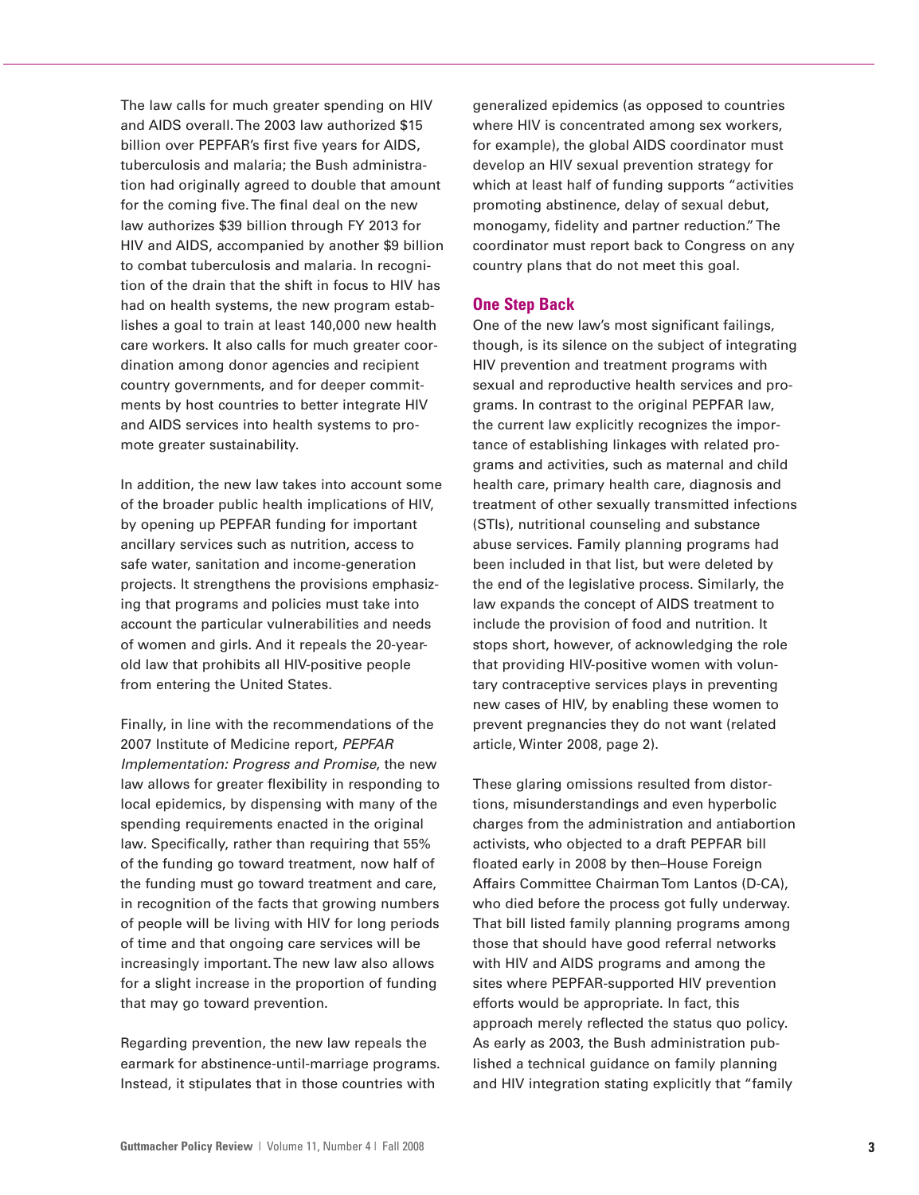The law calls for much greater spending on HIV and AIDS overall.The 2003 law authorized \$15 billion over PEPFAR's first five years for AIDS, tuberculosis and malaria; the Bush administration had originally agreed to double that amount for the coming five.The final deal on the new law authorizes \$39 billion through FY 2013 for HIV and AIDS, accompanied by another \$9 billion to combat tuberculosis and malaria. In recognition of the drain that the shift in focus to HIV has had on health systems, the new program establishes a goal to train at least 140,000 new health care workers. It also calls for much greater coordination among donor agencies and recipient country governments, and for deeper commitments by host countries to better integrate HIV and AIDS services into health systems to promote greater sustainability.

In addition, the new law takes into account some of the broader public health implications of HIV, by opening up PEPFAR funding for important ancillary services such as nutrition, access to safe water, sanitation and income-generation projects. It strengthens the provisions emphasizing that programs and policies must take into account the particular vulnerabilities and needs of women and girls. And it repeals the 20-yearold law that prohibits all HIV-positive people from entering the United States.

Finally, in line with the recommendations of the 2007 Institute of Medicine report, *PEPFAR Implementation: Progress and Promise*, the new law allows for greater flexibility in responding to local epidemics, by dispensing with many of the spending requirements enacted in the original law. Specifically, rather than requiring that 55% of the funding go toward treatment, now half of the funding must go toward treatment and care, in recognition of the facts that growing numbers of people will be living with HIV for long periods of time and that ongoing care services will be increasingly important.The new law also allows for a slight increase in the proportion of funding that may go toward prevention.

Regarding prevention, the new law repeals the earmark for abstinence-until-marriage programs. Instead, it stipulates that in those countries with

generalized epidemics (as opposed to countries where HIV is concentrated among sex workers, for example), the global AIDS coordinator must develop an HIV sexual prevention strategy for which at least half of funding supports "activities promoting abstinence, delay of sexual debut, monogamy, fidelity and partner reduction."The coordinator must report back to Congress on any country plans that do not meet this goal.

#### **One Step Back**

One of the new law's most significant failings, though, is its silence on the subject of integrating HIV prevention and treatment programs with sexual and reproductive health services and programs. In contrast to the original PEPFAR law, the current law explicitly recognizes the importance of establishing linkages with related programs and activities, such as maternal and child health care, primary health care, diagnosis and treatment of other sexually transmitted infections (STIs), nutritional counseling and substance abuse services. Family planning programs had been included in that list, but were deleted by the end of the legislative process. Similarly, the law expands the concept of AIDS treatment to include the provision of food and nutrition. It stops short, however, of acknowledging the role that providing HIV-positive women with voluntary contraceptive services plays in preventing new cases of HIV, by enabling these women to prevent pregnancies they do not want (related article, Winter 2008, page 2).

These glaring omissions resulted from distortions, misunderstandings and even hyperbolic charges from the administration and antiabortion activists, who objected to a draft PEPFAR bill floated early in 2008 by then–House Foreign Affairs Committee ChairmanTom Lantos (D-CA), who died before the process got fully underway. That bill listed family planning programs among those that should have good referral networks with HIV and AIDS programs and among the sites where PEPFAR-supported HIV prevention efforts would be appropriate. In fact, this approach merely reflected the status quo policy. As early as 2003, the Bush administration published a technical guidance on family planning and HIV integration stating explicitly that "family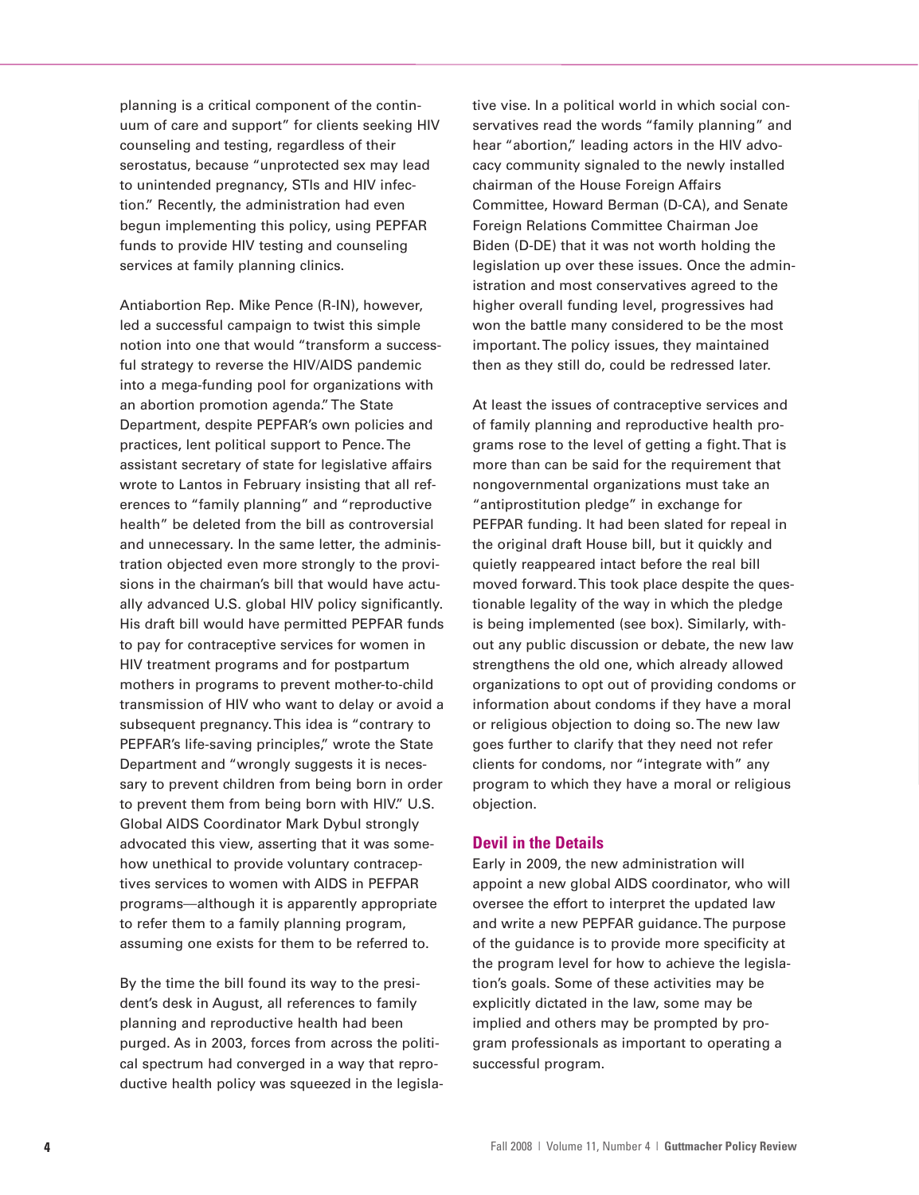planning is a critical component of the continuum of care and support" for clients seeking HIV counseling and testing, regardless of their serostatus, because "unprotected sex may lead to unintended pregnancy, STIs and HIV infection." Recently, the administration had even begun implementing this policy, using PEPFAR funds to provide HIV testing and counseling services at family planning clinics.

Antiabortion Rep. Mike Pence (R-IN), however, led a successful campaign to twist this simple notion into one that would "transform a successful strategy to reverse the HIV/AIDS pandemic into a mega-funding pool for organizations with an abortion promotion agenda."The State Department, despite PEPFAR's own policies and practices, lent political support to Pence.The assistant secretary of state for legislative affairs wrote to Lantos in February insisting that all references to "family planning" and "reproductive health" be deleted from the bill as controversial and unnecessary. In the same letter, the administration objected even more strongly to the provisions in the chairman's bill that would have actually advanced U.S. global HIV policy significantly. His draft bill would have permitted PEPFAR funds to pay for contraceptive services for women in HIV treatment programs and for postpartum mothers in programs to prevent mother-to-child transmission of HIV who want to delay or avoid a subsequent pregnancy.This idea is "contrary to PEPFAR's life-saving principles," wrote the State Department and "wrongly suggests it is necessary to prevent children from being born in order to prevent them from being born with HIV." U.S. Global AIDS Coordinator Mark Dybul strongly advocated this view, asserting that it was somehow unethical to provide voluntary contraceptives services to women with AIDS in PEFPAR programs—although it is apparently appropriate to refer them to a family planning program, assuming one exists for them to be referred to.

By the time the bill found its way to the president's desk in August, all references to family planning and reproductive health had been purged. As in 2003, forces from across the political spectrum had converged in a way that reproductive health policy was squeezed in the legislative vise. In a political world in which social conservatives read the words "family planning" and hear "abortion," leading actors in the HIV advocacy community signaled to the newly installed chairman of the House Foreign Affairs Committee, Howard Berman (D-CA), and Senate Foreign Relations Committee Chairman Joe Biden (D-DE) that it was not worth holding the legislation up over these issues. Once the administration and most conservatives agreed to the higher overall funding level, progressives had won the battle many considered to be the most important.The policy issues, they maintained then as they still do, could be redressed later.

At least the issues of contraceptive services and of family planning and reproductive health programs rose to the level of getting a fight.That is more than can be said for the requirement that nongovernmental organizations must take an "antiprostitution pledge" in exchange for PEFPAR funding. It had been slated for repeal in the original draft House bill, but it quickly and quietly reappeared intact before the real bill moved forward.This took place despite the questionable legality of the way in which the pledge is being implemented (see box). Similarly, without any public discussion or debate, the new law strengthens the old one, which already allowed organizations to opt out of providing condoms or information about condoms if they have a moral or religious objection to doing so.The new law goes further to clarify that they need not refer clients for condoms, nor "integrate with" any program to which they have a moral or religious objection.

#### **Devil in the Details**

Early in 2009, the new administration will appoint a new global AIDS coordinator, who will oversee the effort to interpret the updated law and write a new PEPFAR guidance.The purpose of the guidance is to provide more specificity at the program level for how to achieve the legislation's goals. Some of these activities may be explicitly dictated in the law, some may be implied and others may be prompted by program professionals as important to operating a successful program.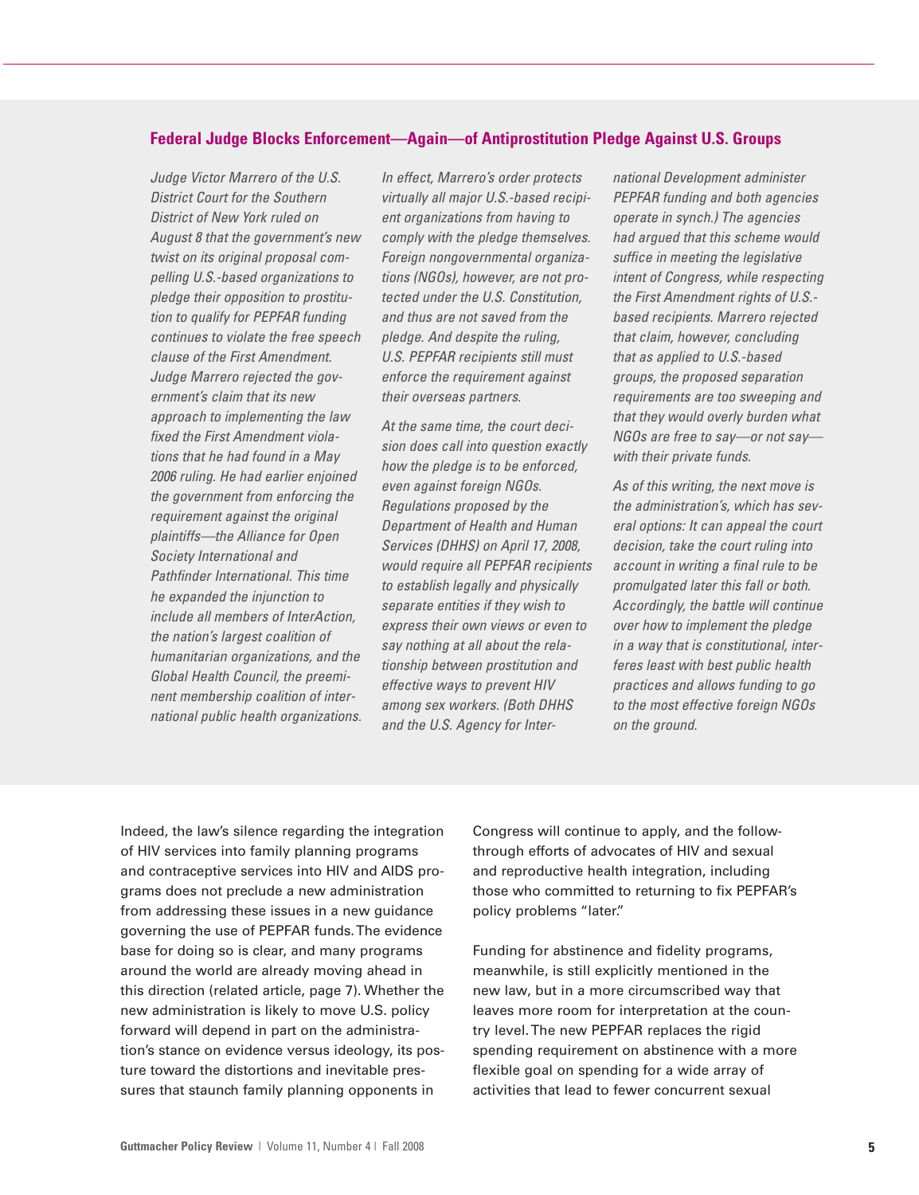#### **Federal Judge Blocks Enforcement—Again—of Antiprostitution Pledge Against U.S. Groups**

*Judge Victor Marrero of the U.S. District Court for the Southern District of New York ruled on August 8 that the government's new twist on its original proposal compelling U.S.-based organizations to pledge their opposition to prostitution to qualify for PEPFAR funding continues to violate the free speech clause of the First Amendment. Judge Marrero rejected the government's claim that its new approach to implementing the law fixed the First Amendment violations that he had found in a May 2006 ruling. He had earlier enjoined the government from enforcing the requirement against the original plaintiffs—the Alliance for Open Society International and Pathfinder International. This time he expanded the injunction to include all members of InterAction, the nation's largest coalition of humanitarian organizations, and the Global Health Council, the preeminent membership coalition of international public health organizations.*

*In effect, Marrero's order protects virtually all major U.S.-based recipient organizations from having to comply with the pledge themselves. Foreign nongovernmental organizations (NGOs), however, are not protected under the U.S. Constitution, and thus are not saved from the pledge. And despite the ruling, U.S. PEPFAR recipients still must enforce the requirement against their overseas partners.*

*At the same time, the court decision does call into question exactly how the pledge is to be enforced, even against foreign NGOs. Regulations proposed by the Department of Health and Human Services (DHHS) on April 17, 2008, would require all PEPFAR recipients to establish legally and physically separate entities if they wish to express their own views or even to say nothing at all about the relationship between prostitution and effective ways to prevent HIV among sex workers. (Both DHHS and the U.S. Agency for Inter-* *national Development administer PEPFAR funding and both agencies operate in synch.) The agencies had argued that this scheme would suffice in meeting the legislative intent of Congress, while respecting the First Amendment rights of U.S. based recipients. Marrero rejected that claim, however, concluding that as applied to U.S.-based groups, the proposed separation requirements are too sweeping and that they would overly burden what NGOs are free to say—or not say with their private funds.*

*As of this writing, the next move is the administration's, which has several options: It can appeal the court decision, take the court ruling into account in writing a final rule to be promulgated later this fall or both. Accordingly, the battle will continue over how to implement the pledge in a way that is constitutional, interferes least with best public health practices and allows funding to go to the most effective foreign NGOs on the ground.*

Indeed, the law's silence regarding the integration of HIV services into family planning programs and contraceptive services into HIV and AIDS programs does not preclude a new administration from addressing these issues in a new guidance governing the use of PEPFAR funds.The evidence base for doing so is clear, and many programs around the world are already moving ahead in this direction (related article, page 7). Whether the new administration is likely to move U.S. policy forward will depend in part on the administration's stance on evidence versus ideology, its posture toward the distortions and inevitable pressures that staunch family planning opponents in

Congress will continue to apply, and the followthrough efforts of advocates of HIV and sexual and reproductive health integration, including those who committed to returning to fix PEPFAR's policy problems "later."

Funding for abstinence and fidelity programs, meanwhile, is still explicitly mentioned in the new law, but in a more circumscribed way that leaves more room for interpretation at the country level.The new PEPFAR replaces the rigid spending requirement on abstinence with a more flexible goal on spending for a wide array of activities that lead to fewer concurrent sexual